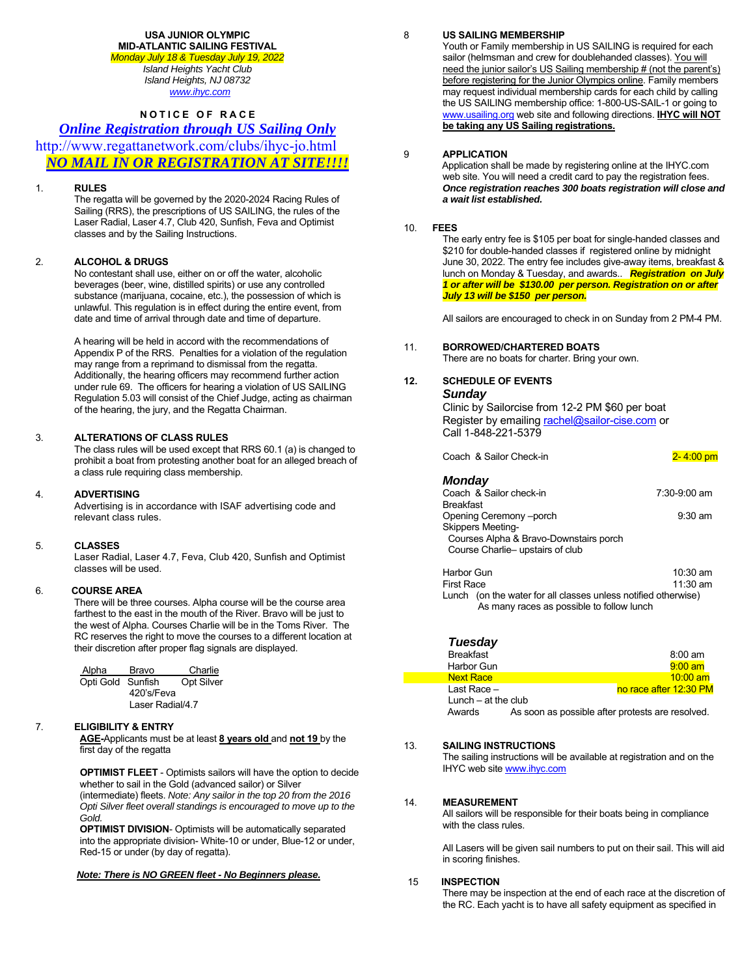#### **USA JUNIOR OLYMPIC MID-ATLANTIC SAILING FESTIVAL**

*Monday July 18 & Tuesday July 19, 2022 Island Heights Yacht Club Island Heights, NJ 08732 www.ihyc.com*

# **NOTICE OF RACE**

# *Online Registration through US Sailing Only*

http://www.regattanetwork.com/clubs/ihyc-jo.html *NO MAIL IN OR REGISTRATION AT SITE!!!!* 

## 1. **RULES**

 The regatta will be governed by the 2020-2024 Racing Rules of Sailing (RRS), the prescriptions of US SAILING, the rules of the Laser Radial, Laser 4.7, Club 420, Sunfish, Feva and Optimist classes and by the Sailing Instructions.

### 2. **ALCOHOL & DRUGS**

 No contestant shall use, either on or off the water, alcoholic beverages (beer, wine, distilled spirits) or use any controlled substance (marijuana, cocaine, etc.), the possession of which is unlawful. This regulation is in effect during the entire event, from date and time of arrival through date and time of departure.

A hearing will be held in accord with the recommendations of Appendix P of the RRS. Penalties for a violation of the regulation may range from a reprimand to dismissal from the regatta. Additionally, the hearing officers may recommend further action under rule 69. The officers for hearing a violation of US SAILING Regulation 5.03 will consist of the Chief Judge, acting as chairman of the hearing, the jury, and the Regatta Chairman.

### 3. **ALTERATIONS OF CLASS RULES**

 The class rules will be used except that RRS 60.1 (a) is changed to prohibit a boat from protesting another boat for an alleged breach of a class rule requiring class membership.

### 4. **ADVERTISING**

Advertising is in accordance with ISAF advertising code and relevant class rules.

### 5. **CLASSES**

 Laser Radial, Laser 4.7, Feva, Club 420, Sunfish and Optimist classes will be used.

### 6. **COURSE AREA**

There will be three courses. Alpha course will be the course area farthest to the east in the mouth of the River. Bravo will be just to the west of Alpha. Courses Charlie will be in the Toms River. The RC reserves the right to move the courses to a different location at their discretion after proper flag signals are displayed.

| Alpha             | Bravo            | Charlie           |  |  |
|-------------------|------------------|-------------------|--|--|
| Opti Gold Sunfish |                  | <b>Opt Silver</b> |  |  |
| 420's/Feva        |                  |                   |  |  |
|                   | Laser Radial/4.7 |                   |  |  |

# 7. **ELIGIBILITY & ENTRY**

 **AGE-**Applicants must be at least **8 years old** and **not 19** by the first day of the regatta

 **OPTIMIST FLEET** - Optimists sailors will have the option to decide whether to sail in the Gold (advanced sailor) or Silver

(intermediate) fleets. *Note: Any sailor in the top 20 from the 2016 Opti Silver fleet overall standings is encouraged to move up to the Gold.*

 **OPTIMIST DIVISION**- Optimists will be automatically separated into the appropriate division- White-10 or under, Blue-12 or under, Red-15 or under (by day of regatta).

### *Note: There is NO GREEN fleet - No Beginners please.*

8 **US SAILING MEMBERSHIP**

 Youth or Family membership in US SAILING is required for each sailor (helmsman and crew for doublehanded classes). You will need the junior sailor's US Sailing membership # (not the parent's) before registering for the Junior Olympics online. Family members may request individual membership cards for each child by calling the US SAILING membership office: 1-800-US-SAIL-1 or going to www.usailing.org web site and following directions. **IHYC will NOT be taking any US Sailing registrations.**

### 9 **APPLICATION**

 Application shall be made by registering online at the IHYC.com web site. You will need a credit card to pay the registration fees. *Once registration reaches 300 boats registration will close and a wait list established.* 

#### 10. **FEES**

 The early entry fee is \$105 per boat for single-handed classes and \$210 for double-handed classes if registered online by midnight June 30, 2022. The entry fee includes give-away items, breakfast & lunch on Monday & Tuesday, and awards.. *Registration on July 1 or after will be \$130.00 per person. Registration on or after July 13 will be \$150 per person.* 

All sailors are encouraged to check in on Sunday from 2 PM-4 PM.

### 11. **BORROWED/CHARTERED BOATS**

There are no boats for charter. Bring your own.

### **12. SCHEDULE OF EVENTS**  *Sunday*

Clinic by Sailorcise from 12-2 PM \$60 per boat Register by emailing rachel@sailor-cise.com or Call 1-848-221-5379

| Coach & Sailor Check-in                | 2-4:00 pm          |
|----------------------------------------|--------------------|
| <b>Monday</b>                          |                    |
| Coach & Sailor check-in                | $7:30-9:00$ am     |
| <b>Breakfast</b>                       |                    |
| Opening Ceremony --porch               | $9:30$ am          |
| <b>Skippers Meeting-</b>               |                    |
| Courses Alpha & Bravo-Downstairs porch |                    |
| Course Charlie-upstairs of club        |                    |
| Harbor Gun                             | $10:30 \text{ am}$ |
| Firet Race                             | 11.30 am           |

 First Race 11:30 am Lunch (on the water for all classes unless notified otherwise) As many races as possible to follow lunch

| Tuesday               |                                                  |                        |
|-----------------------|--------------------------------------------------|------------------------|
| <b>Breakfast</b>      |                                                  | $8:00$ am              |
| Harbor Gun            |                                                  | $9:00$ am              |
| <b>Next Race</b>      |                                                  | $10:00$ am             |
| Last Race $-$         |                                                  | no race after 12:30 PM |
| Lunch $-$ at the club |                                                  |                        |
| Awards                | As soon as possible after protests are resolved. |                        |

# 13. **SAILING INSTRUCTIONS**

 The sailing instructions will be available at registration and on the IHYC web site www.ihyc.com

### 14. **MEASUREMENT**

 All sailors will be responsible for their boats being in compliance with the class rules.

 All Lasers will be given sail numbers to put on their sail. This will aid in scoring finishes.

#### 15 **INSPECTION**

There may be inspection at the end of each race at the discretion of the RC. Each yacht is to have all safety equipment as specified in